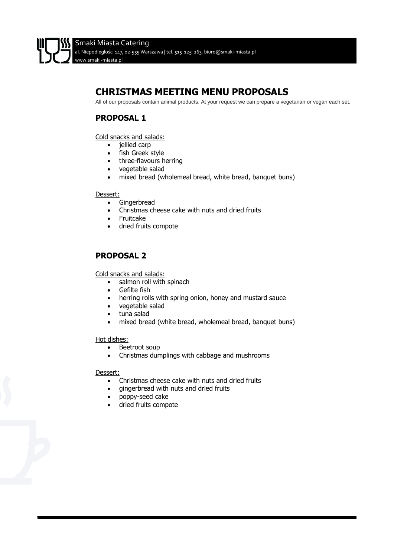# **CHRISTMAS MEETING MENU PROPOSALS**

All of our proposals contain animal products. At your request we can prepare a vegetarian or vegan each set.

# **PROPOSAL 1**

Cold snacks and salads:

- jellied carp
- fish Greek style
- three-flavours herring
- vegetable salad
- mixed bread (wholemeal bread, white bread, banquet buns)

#### Dessert:

- Gingerbread
- Christmas cheese cake with nuts and dried fruits
- Fruitcake
- dried fruits compote

# **PROPOSAL 2**

Cold snacks and salads:

- salmon roll with spinach
- Gefilte fish
- herring rolls with spring onion, honey and mustard sauce
- vegetable salad
- tuna salad
- mixed bread (white bread, wholemeal bread, banquet buns)

#### Hot dishes:

- Beetroot soup
- Christmas dumplings with cabbage and mushrooms

#### Dessert:

- Christmas cheese cake with nuts and dried fruits
- gingerbread with nuts and dried fruits
- poppy-seed cake
- dried fruits compote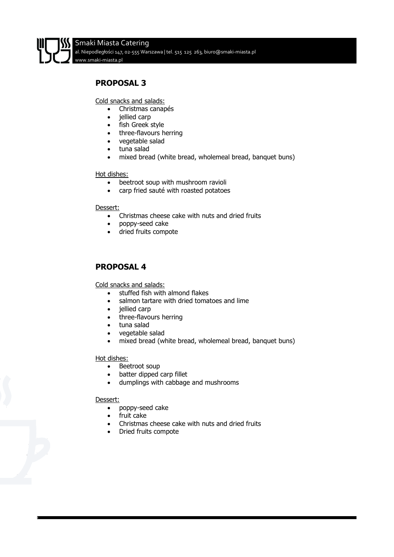# **PROPOSAL 3**

Cold snacks and salads:

- Christmas canapés
- jellied carp
- fish Greek style
- three-flavours herring
- vegetable salad
- tuna salad
- mixed bread (white bread, wholemeal bread, banquet buns)

#### Hot dishes:

- beetroot soup with mushroom ravioli
- carp fried sauté with roasted potatoes

#### Dessert:

- Christmas cheese cake with nuts and dried fruits
- poppy-seed cake
- dried fruits compote

# **PROPOSAL 4**

Cold snacks and salads:

- stuffed fish with almond flakes
- salmon tartare with dried tomatoes and lime
- jellied carp
- three-flavours herring
- tuna salad
- vegetable salad
- mixed bread (white bread, wholemeal bread, banquet buns)

### Hot dishes:

- Beetroot soup
- batter dipped carp fillet
- dumplings with cabbage and mushrooms

#### Dessert:

- poppy-seed cake
- fruit cake
- Christmas cheese cake with nuts and dried fruits
- Dried fruits compote